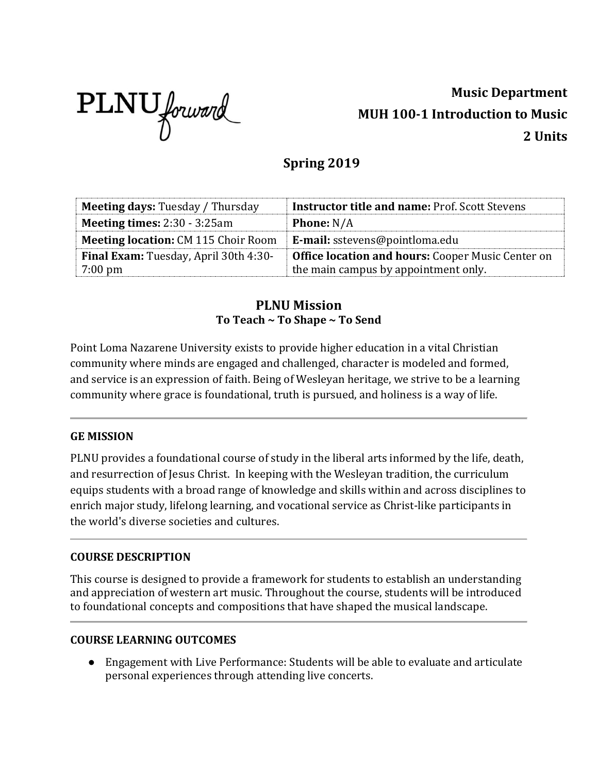

# **Music Department MUH 100-1 Introduction to Music 2 Units**

## **Spring 2019**

| <b>Meeting days: Tuesday / Thursday</b>      | <b>Instructor title and name: Prof. Scott Stevens</b>    |
|----------------------------------------------|----------------------------------------------------------|
| <b>Meeting times:</b> $2:30 - 3:25$ am       | <b>Phone:</b> N/A                                        |
| <b>Meeting location: CM 115 Choir Room</b>   | E-mail: sstevens@pointloma.edu                           |
| <b>Final Exam:</b> Tuesday, April 30th 4:30- | <b>Office location and hours: Cooper Music Center on</b> |
| $7:00 \text{ pm}$                            | the main campus by appointment only.                     |

## **PLNU Mission To Teach ~ To Shape ~ To Send**

Point Loma Nazarene University exists to provide higher education in a vital Christian community where minds are engaged and challenged, character is modeled and formed, and service is an expression of faith. Being of Wesleyan heritage, we strive to be a learning community where grace is foundational, truth is pursued, and holiness is a way of life.

## **GE MISSION**

PLNU provides a foundational course of study in the liberal arts informed by the life, death, and resurrection of Jesus Christ. In keeping with the Wesleyan tradition, the curriculum equips students with a broad range of knowledge and skills within and across disciplines to enrich major study, lifelong learning, and vocational service as Christ-like participants in the world's diverse societies and cultures.

## **COURSE DESCRIPTION**

This course is designed to provide a framework for students to establish an understanding and appreciation of western art music. Throughout the course, students will be introduced to foundational concepts and compositions that have shaped the musical landscape.

## **COURSE LEARNING OUTCOMES**

● Engagement with Live Performance: Students will be able to evaluate and articulate personal experiences through attending live concerts.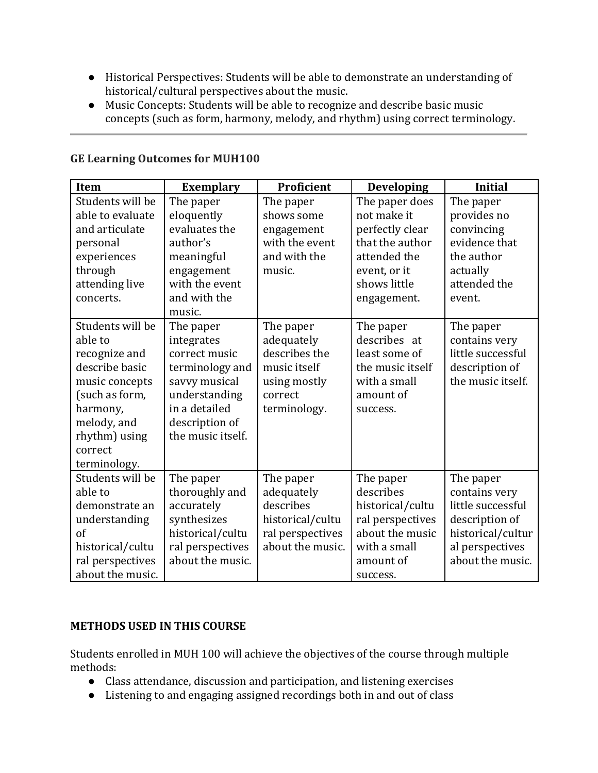- Historical Perspectives: Students will be able to demonstrate an understanding of historical/cultural perspectives about the music.
- Music Concepts: Students will be able to recognize and describe basic music concepts (such as form, harmony, melody, and rhythm) using correct terminology.

| Item                                                                                                                                                                      | <b>Exemplary</b>                                                                                                                                      | Proficient                                                                                          | <b>Developing</b>                                                                                                                  | <b>Initial</b>                                                                                                                |
|---------------------------------------------------------------------------------------------------------------------------------------------------------------------------|-------------------------------------------------------------------------------------------------------------------------------------------------------|-----------------------------------------------------------------------------------------------------|------------------------------------------------------------------------------------------------------------------------------------|-------------------------------------------------------------------------------------------------------------------------------|
| Students will be<br>able to evaluate<br>and articulate<br>personal<br>experiences<br>through<br>attending live<br>concerts.                                               | The paper<br>eloquently<br>evaluates the<br>author's<br>meaningful<br>engagement<br>with the event<br>and with the                                    | The paper<br>shows some<br>engagement<br>with the event<br>and with the<br>music.                   | The paper does<br>not make it<br>perfectly clear<br>that the author<br>attended the<br>event, or it<br>shows little<br>engagement. | The paper<br>provides no<br>convincing<br>evidence that<br>the author<br>actually<br>attended the<br>event.                   |
|                                                                                                                                                                           | music.                                                                                                                                                |                                                                                                     |                                                                                                                                    |                                                                                                                               |
| Students will be<br>able to<br>recognize and<br>describe basic<br>music concepts<br>(such as form,<br>harmony,<br>melody, and<br>rhythm) using<br>correct<br>terminology. | The paper<br>integrates<br>correct music<br>terminology and<br>savvy musical<br>understanding<br>in a detailed<br>description of<br>the music itself. | The paper<br>adequately<br>describes the<br>music itself<br>using mostly<br>correct<br>terminology. | The paper<br>describes at<br>least some of<br>the music itself<br>with a small<br>amount of<br>success.                            | The paper<br>contains very<br>little successful<br>description of<br>the music itself.                                        |
| Students will be<br>able to<br>demonstrate an<br>understanding<br>of<br>historical/cultu<br>ral perspectives<br>about the music.                                          | The paper<br>thoroughly and<br>accurately<br>synthesizes<br>historical/cultu<br>ral perspectives<br>about the music.                                  | The paper<br>adequately<br>describes<br>historical/cultu<br>ral perspectives<br>about the music.    | The paper<br>describes<br>historical/cultu<br>ral perspectives<br>about the music<br>with a small<br>amount of<br>success.         | The paper<br>contains very<br>little successful<br>description of<br>historical/cultur<br>al perspectives<br>about the music. |

## **GE Learning Outcomes for MUH100**

## **METHODS USED IN THIS COURSE**

Students enrolled in MUH 100 will achieve the objectives of the course through multiple methods:

- Class attendance, discussion and participation, and listening exercises
- Listening to and engaging assigned recordings both in and out of class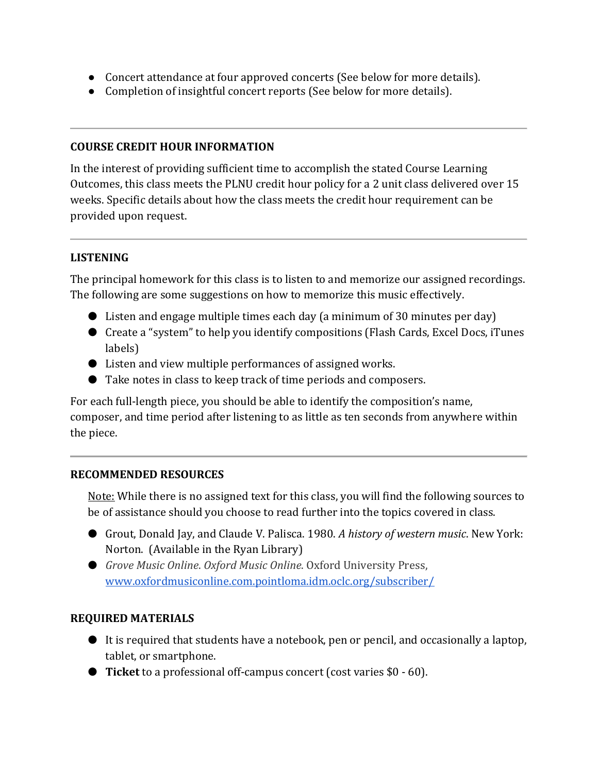- Concert attendance at four approved concerts (See below for more details).
- Completion of insightful concert reports (See below for more details).

## **COURSE CREDIT HOUR INFORMATION**

In the interest of providing sufficient time to accomplish the stated Course Learning Outcomes, this class meets the PLNU credit hour policy for a 2 unit class delivered over 15 weeks. Specific details about how the class meets the credit hour requirement can be provided upon request.

## **LISTENING**

The principal homework for this class is to listen to and memorize our assigned recordings. The following are some suggestions on how to memorize this music effectively.

- Listen and engage multiple times each day (a minimum of 30 minutes per day)
- Create a "system" to help you identify compositions (Flash Cards, Excel Docs, iTunes labels)
- Listen and view multiple performances of assigned works.
- Take notes in class to keep track of time periods and composers.

For each full-length piece, you should be able to identify the composition's name, composer, and time period after listening to as little as ten seconds from anywhere within the piece.

## **RECOMMENDED RESOURCES**

Note: While there is no assigned text for this class, you will find the following sources to be of assistance should you choose to read further into the topics covered in class.

- Grout, Donald Jay, and Claude V. Palisca. 1980. *A history of western music*. New York: Norton. (Available in the Ryan Library)
- *Grove Music Online. Oxford Music Online*. Oxford University Press, [www.oxfordmusiconline.com.pointloma.idm.oclc.org/subscriber/](http://www.oxfordmusiconline.com.pointloma.idm.oclc.org/subscriber/)

## **REQUIRED MATERIALS**

- $\bullet$  It is required that students have a notebook, pen or pencil, and occasionally a laptop, tablet, or smartphone.
- **Ticket** to a professional off-campus concert (cost varies \$0 60).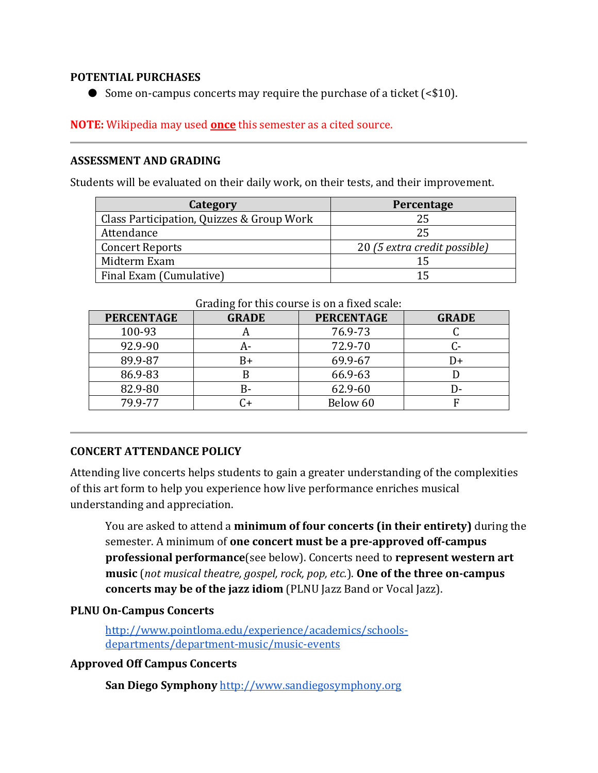## **POTENTIAL PURCHASES**

● Some on-campus concerts may require the purchase of a ticket (<\$10).

## **NOTE:** Wikipedia may used **once** this semester as a cited source.

## **ASSESSMENT AND GRADING**

Students will be evaluated on their daily work, on their tests, and their improvement.

| Category                                  | Percentage                   |  |
|-------------------------------------------|------------------------------|--|
| Class Participation, Quizzes & Group Work | 25                           |  |
| Attendance                                | 25                           |  |
| <b>Concert Reports</b>                    | 20 (5 extra credit possible) |  |
| Midterm Exam                              | 15                           |  |
| Final Exam (Cumulative)                   | 15                           |  |

| <b>PERCENTAGE</b> | <b>GRADE</b> | <b>PERCENTAGE</b> | <b>GRADE</b> |
|-------------------|--------------|-------------------|--------------|
| 100-93            | A            | 76.9-73           |              |
| 92.9-90           | A-           | 72.9-70           |              |
| 89.9-87           | B+           | 69.9-67           | I)+          |
| 86.9-83           |              | 66.9-63           |              |
| 82.9-80           | B-           | 62.9-60           | I)-          |
| 79.9-77           | C+           | Below 60          |              |

## Grading for this course is on a fixed scale:

## **CONCERT ATTENDANCE POLICY**

Attending live concerts helps students to gain a greater understanding of the complexities of this art form to help you experience how live performance enriches musical understanding and appreciation.

You are asked to attend a **minimum of four concerts (in their entirety)** during the semester. A minimum of **one concert must be a pre-approved off-campus professional performance**(see below). Concerts need to **represent western art music** (*not musical theatre, gospel, rock, pop, etc.*). **One of the three on-campus concerts may be of the jazz idiom** (PLNU Jazz Band or Vocal Jazz).

## **PLNU On-Campus Concerts**

[http://www.pointloma.edu/experience/academics/schools](http://www.pointloma.edu/experience/academics/schools-departments/department-music/music-events)[departments/department-music/music-events](http://www.pointloma.edu/experience/academics/schools-departments/department-music/music-events)

## **Approved Off Campus Concerts**

**San Diego Symphony** [http://www.sandiegosymphony.org](http://www.sandiegosymphony.org/)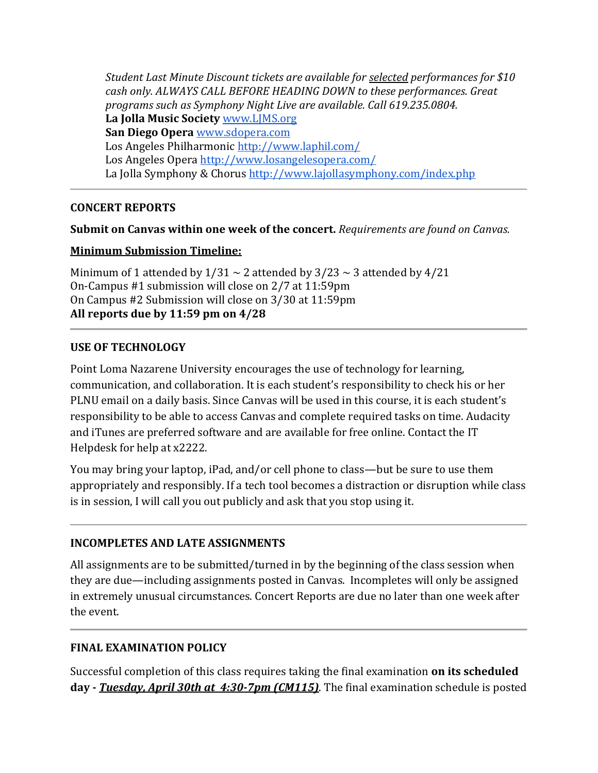*Student Last Minute Discount tickets are available for selected performances for \$10 cash only. ALWAYS CALL BEFORE HEADING DOWN to these performances. Great programs such as Symphony Night Live are available. Call 619.235.0804.* **La Jolla Music Society** [www.LJMS.org](http://www.ljms.org/) **San Diego Opera** [www.sdopera.com](http://www.sdopera.com/) Los Angeles Philharmonic<http://www.laphil.com/> Los Angeles Opera<http://www.losangelesopera.com/> La Jolla Symphony & Chorus<http://www.lajollasymphony.com/index.php>

## **CONCERT REPORTS**

## **Submit on Canvas within one week of the concert.** *Requirements are found on Canvas.*

#### **Minimum Submission Timeline:**

Minimum of 1 attended by  $1/31 \sim 2$  attended by  $3/23 \sim 3$  attended by  $4/21$ On-Campus #1 submission will close on 2/7 at 11:59pm On Campus #2 Submission will close on 3/30 at 11:59pm **All reports due by 11:59 pm on 4/28** 

#### **USE OF TECHNOLOGY**

Point Loma Nazarene University encourages the use of technology for learning, communication, and collaboration. It is each student's responsibility to check his or her PLNU email on a daily basis. Since Canvas will be used in this course, it is each student's responsibility to be able to access Canvas and complete required tasks on time. Audacity and iTunes are preferred software and are available for free online. Contact the IT Helpdesk for help at x2222.

You may bring your laptop, iPad, and/or cell phone to class—but be sure to use them appropriately and responsibly. If a tech tool becomes a distraction or disruption while class is in session, I will call you out publicly and ask that you stop using it.

## **INCOMPLETES AND LATE ASSIGNMENTS**

All assignments are to be submitted/turned in by the beginning of the class session when they are due—including assignments posted in Canvas. Incompletes will only be assigned in extremely unusual circumstances. Concert Reports are due no later than one week after the event.

## **FINAL EXAMINATION POLICY**

Successful completion of this class requires taking the final examination **on its scheduled day -** *Tuesday, April 30th at 4:30-7pm (CM115)*. The final examination schedule is posted